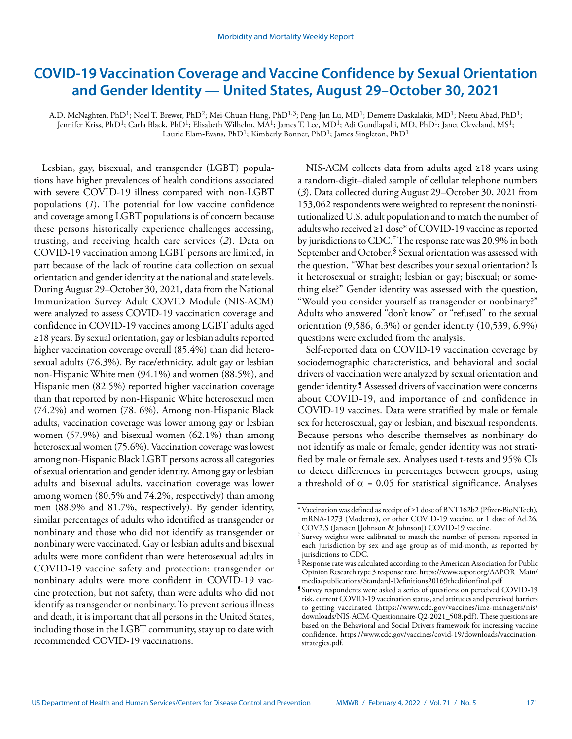# **COVID-19 Vaccination Coverage and Vaccine Confidence by Sexual Orientation and Gender Identity — United States, August 29–October 30, 2021**

A.D. McNaghten, PhD<sup>1</sup>; Noel T. Brewer, PhD<sup>2</sup>; Mei-Chuan Hung, PhD<sup>1,3</sup>; Peng-Jun Lu, MD<sup>1</sup>; Demetre Daskalakis, MD<sup>1</sup>; Neetu Abad, PhD<sup>1</sup>; Jennifer Kriss, PhD<sup>1</sup>; Carla Black, PhD<sup>1</sup>; Elisabeth Wilhelm, MA<sup>1</sup>; James T. Lee, MD<sup>1</sup>; Adi Gundlapalli, MD, PhD<sup>1</sup>; Janet Cleveland, MS<sup>1</sup>; Laurie Elam-Evans, PhD<sup>1</sup>; Kimberly Bonner, PhD<sup>1</sup>; James Singleton, PhD<sup>1</sup>

Lesbian, gay, bisexual, and transgender (LGBT) populations have higher prevalences of health conditions associated with severe COVID-19 illness compared with non-LGBT populations (*1*). The potential for low vaccine confidence and coverage among LGBT populations is of concern because these persons historically experience challenges accessing, trusting, and receiving health care services (*2*). Data on COVID-19 vaccination among LGBT persons are limited, in part because of the lack of routine data collection on sexual orientation and gender identity at the national and state levels. During August 29–October 30, 2021, data from the National Immunization Survey Adult COVID Module (NIS-ACM) were analyzed to assess COVID-19 vaccination coverage and confidence in COVID-19 vaccines among LGBT adults aged ≥18 years. By sexual orientation, gay or lesbian adults reported higher vaccination coverage overall (85.4%) than did heterosexual adults (76.3%). By race/ethnicity, adult gay or lesbian non-Hispanic White men (94.1%) and women (88.5%), and Hispanic men (82.5%) reported higher vaccination coverage than that reported by non-Hispanic White heterosexual men (74.2%) and women (78. 6%). Among non-Hispanic Black adults, vaccination coverage was lower among gay or lesbian women (57.9%) and bisexual women (62.1%) than among heterosexual women (75.6%). Vaccination coverage was lowest among non-Hispanic Black LGBT persons across all categories of sexual orientation and gender identity. Among gay or lesbian adults and bisexual adults, vaccination coverage was lower among women (80.5% and 74.2%, respectively) than among men (88.9% and 81.7%, respectively). By gender identity, similar percentages of adults who identified as transgender or nonbinary and those who did not identify as transgender or nonbinary were vaccinated. Gay or lesbian adults and bisexual adults were more confident than were heterosexual adults in COVID-19 vaccine safety and protection; transgender or nonbinary adults were more confident in COVID-19 vaccine protection, but not safety, than were adults who did not identify as transgender or nonbinary. To prevent serious illness and death, it is important that all persons in the United States, including those in the LGBT community, stay up to date with recommended COVID-19 vaccinations.

NIS-ACM collects data from adults aged ≥18 years using a random-digit–dialed sample of cellular telephone numbers (*3*). Data collected during August 29–October 30, 2021 from 153,062 respondents were weighted to represent the noninstitutionalized U.S. adult population and to match the number of adults who received ≥1 dose\* of COVID-19 vaccine as reported by jurisdictions to CDC.<sup>†</sup> The response rate was 20.9% in both September and October.<sup>§</sup> Sexual orientation was assessed with the question, "What best describes your sexual orientation? Is it heterosexual or straight; lesbian or gay; bisexual; or something else?" Gender identity was assessed with the question, "Would you consider yourself as transgender or nonbinary?" Adults who answered "don't know" or "refused" to the sexual orientation (9,586, 6.3%) or gender identity (10,539, 6.9%) questions were excluded from the analysis.

Self-reported data on COVID-19 vaccination coverage by sociodemographic characteristics, and behavioral and social drivers of vaccination were analyzed by sexual orientation and gender identity.¶ Assessed drivers of vaccination were concerns about COVID-19, and importance of and confidence in COVID-19 vaccines. Data were stratified by male or female sex for heterosexual, gay or lesbian, and bisexual respondents. Because persons who describe themselves as nonbinary do not identify as male or female, gender identity was not stratified by male or female sex. Analyses used t-tests and 95% CIs to detect differences in percentages between groups, using a threshold of  $\alpha = 0.05$  for statistical significance. Analyses

<sup>\*</sup>Vaccination was defined as receipt of ≥1 dose of BNT162b2 (Pfizer-BioNTech), mRNA-1273 (Moderna), or other COVID-19 vaccine, or 1 dose of Ad.26. COV2.S (Janssen [Johnson & Johnson]) COVID-19 vaccine.

<sup>†</sup> Survey weights were calibrated to match the number of persons reported in each jurisdiction by sex and age group as of mid-month, as reported by jurisdictions to CDC.

<sup>§</sup>Response rate was calculated according to the American Association for Public Opinion Research type 3 response rate. [https://www.aapor.org/AAPOR\\_Main/](https://www.aapor.org/AAPOR_Main/media/publications/Standard-Definitions20169theditionfinal.pdf) [media/publications/Standard-Definitions20169theditionfinal.pdf](https://www.aapor.org/AAPOR_Main/media/publications/Standard-Definitions20169theditionfinal.pdf)

<sup>¶</sup> Survey respondents were asked a series of questions on perceived COVID-19 risk, current COVID-19 vaccination status, and attitudes and perceived barriers to getting vaccinated ([https://www.cdc.gov/vaccines/imz-managers/nis/](https://www.cdc.gov/vaccines/imz-managers/nis/downloads/NIS-ACM-Questionnaire-Q2-2021_508.pdf) [downloads/NIS-ACM-Questionnaire-Q2-2021\\_508.pdf](https://www.cdc.gov/vaccines/imz-managers/nis/downloads/NIS-ACM-Questionnaire-Q2-2021_508.pdf)). These questions are based on the Behavioral and Social Drivers framework for increasing vaccine confidence. [https://www.cdc.gov/vaccines/covid-19/downloads/vaccination](https://www.cdc.gov/vaccines/covid-19/downloads/vaccination-strategies.pdf)[strategies.pdf.](https://www.cdc.gov/vaccines/covid-19/downloads/vaccination-strategies.pdf)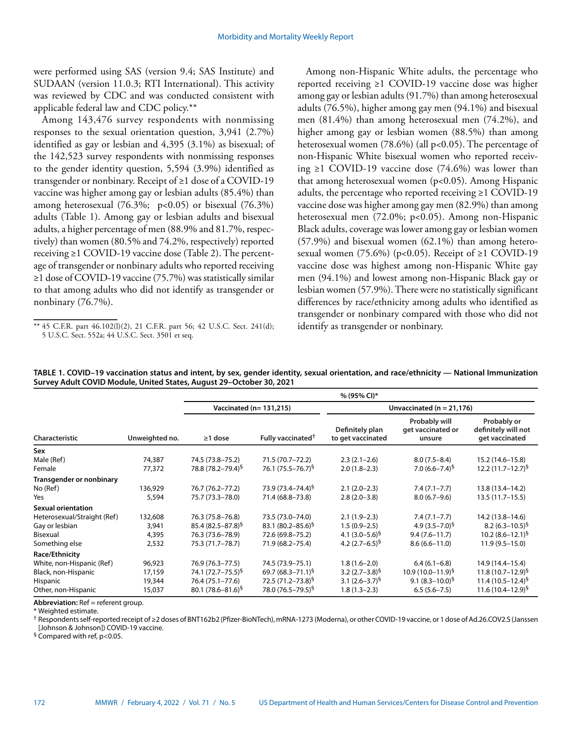were performed using SAS (version 9.4; SAS Institute) and SUDAAN (version 11.0.3; RTI International). This activity was reviewed by CDC and was conducted consistent with applicable federal law and CDC policy.\*\*

Among 143,476 survey respondents with nonmissing responses to the sexual orientation question, 3,941 (2.7%) identified as gay or lesbian and 4,395 (3.1%) as bisexual; of the 142,523 survey respondents with nonmissing responses to the gender identity question, 5,594 (3.9%) identified as transgender or nonbinary. Receipt of ≥1 dose of a COVID-19 vaccine was higher among gay or lesbian adults (85.4%) than among heterosexual (76.3%; p<0.05) or bisexual (76.3%) adults (Table 1). Among gay or lesbian adults and bisexual adults, a higher percentage of men (88.9% and 81.7%, respectively) than women (80.5% and 74.2%, respectively) reported receiving ≥1 COVID-19 vaccine dose (Table 2). The percentage of transgender or nonbinary adults who reported receiving ≥1 dose of COVID-19 vaccine (75.7%) was statistically similar to that among adults who did not identify as transgender or nonbinary (76.7%).

Among non-Hispanic White adults, the percentage who reported receiving ≥1 COVID-19 vaccine dose was higher among gay or lesbian adults (91.7%) than among heterosexual adults (76.5%), higher among gay men (94.1%) and bisexual men (81.4%) than among heterosexual men (74.2%), and higher among gay or lesbian women (88.5%) than among heterosexual women  $(78.6\%)$  (all p<0.05). The percentage of non-Hispanic White bisexual women who reported receiving ≥1 COVID-19 vaccine dose  $(74.6%)$  was lower than that among heterosexual women (p<0.05). Among Hispanic adults, the percentage who reported receiving ≥1 COVID-19 vaccine dose was higher among gay men (82.9%) than among heterosexual men (72.0%; p<0.05). Among non-Hispanic Black adults, coverage was lower among gay or lesbian women (57.9%) and bisexual women (62.1%) than among heterosexual women (75.6%) (p<0.05). Receipt of  $\geq 1$  COVID-19 vaccine dose was highest among non-Hispanic White gay men (94.1%) and lowest among non-Hispanic Black gay or lesbian women (57.9%). There were no statistically significant differences by race/ethnicity among adults who identified as transgender or nonbinary compared with those who did not identify as transgender or nonbinary.

|                             |                | % (95% CI)*                   |                               |                                      |                                              |                                                      |  |  |  |
|-----------------------------|----------------|-------------------------------|-------------------------------|--------------------------------------|----------------------------------------------|------------------------------------------------------|--|--|--|
|                             |                |                               | Vaccinated (n= 131,215)       | Unvaccinated ( $n = 21,176$ )        |                                              |                                                      |  |  |  |
| Characteristic              | Unweighted no. | $\geq$ 1 dose                 | Fully vaccinated <sup>†</sup> | Definitely plan<br>to get vaccinated | Probably will<br>get vaccinated or<br>unsure | Probably or<br>definitely will not<br>get vaccinated |  |  |  |
| Sex                         |                |                               |                               |                                      |                                              |                                                      |  |  |  |
| Male (Ref)                  | 74,387         | 74.5 (73.8–75.2)              | 71.5 (70.7-72.2)              | $2.3(2.1-2.6)$                       | $8.0(7.5 - 8.4)$                             | 15.2 (14.6–15.8)                                     |  |  |  |
| Female                      | 77,372         | 78.8 (78.2-79.4) <sup>§</sup> | 76.1 (75.5–76.7) <sup>§</sup> | $2.0(1.8-2.3)$                       | 7.0 $(6.6 - 7.4)^5$                          | $12.2(11.7-12.7)^5$                                  |  |  |  |
| Transgender or nonbinary    |                |                               |                               |                                      |                                              |                                                      |  |  |  |
| No (Ref)                    | 136,929        | 76.7 (76.2–77.2)              | 73.9 (73.4–74.4) <sup>§</sup> | $2.1(2.0-2.3)$                       | $7.4(7.1 - 7.7)$                             | 13.8 (13.4–14.2)                                     |  |  |  |
| Yes                         | 5,594          | 75.7 (73.3-78.0)              | 71.4 (68.8-73.8)              | $2.8(2.0-3.8)$                       | $8.0(6.7-9.6)$                               | $13.5(11.7 - 15.5)$                                  |  |  |  |
| <b>Sexual orientation</b>   |                |                               |                               |                                      |                                              |                                                      |  |  |  |
| Heterosexual/Straight (Ref) | 132,608        | 76.3 (75.8–76.8)              | 73.5 (73.0-74.0)              | $2.1(1.9-2.3)$                       | $7.4(7.1 - 7.7)$                             | 14.2 (13.8-14.6)                                     |  |  |  |
| Gay or lesbian              | 3,941          | $85.4 (82.5 - 87.8)^5$        | 83.1 $(80.2 - 85.6)^5$        | $1.5(0.9-2.5)$                       | 4.9 $(3.5 - 7.0)^5$                          | $8.2 (6.3 - 10.5)^5$                                 |  |  |  |
| Bisexual                    | 4,395          | 76.3 (73.6-78.9)              | 72.6 (69.8-75.2)              | 4.1 $(3.0-5.6)^5$                    | $9.4(7.6 - 11.7)$                            | 10.2 $(8.6 - 12.1)^5$                                |  |  |  |
| Something else              | 2,532          | 75.3 (71.7–78.7)              | 71.9 (68.2-75.4)              | 4.2 $(2.7-6.5)^{9}$                  | $8.6(6.6 - 11.0)$                            | $11.9(9.5 - 15.0)$                                   |  |  |  |
| Race/Ethnicity              |                |                               |                               |                                      |                                              |                                                      |  |  |  |
| White, non-Hispanic (Ref)   | 96,923         | 76.9 (76.3-77.5)              | 74.5 (73.9-75.1)              | $1.8(1.6-2.0)$                       | $6.4(6.1 - 6.8)$                             | 14.9 (14.4-15.4)                                     |  |  |  |
| Black, non-Hispanic         | 17,159         | 74.1 (72.7–75.5) <sup>§</sup> | 69.7 $(68.3 - 71.1)^5$        | 3.2 $(2.7-3.8)^5$                    | $10.9(10.0-11.9)^5$                          | $11.8(10.7-12.9)^5$                                  |  |  |  |
| Hispanic                    | 19,344         | 76.4 (75.1-77.6)              | 72.5 (71.2–73.8) <sup>§</sup> | 3.1 $(2.6-3.7)^{5}$                  | 9.1 $(8.3 - 10.0)^5$                         | 11.4 $(10.5 - 12.4)^5$                               |  |  |  |
| Other, non-Hispanic         | 15,037         | 80.1 $(78.6 - 81.6)^5$        | 78.0 (76.5–79.5) <sup>§</sup> | $1.8(1.3-2.3)$                       | $6.5(5.6 - 7.5)$                             | $11.6(10.4 - 12.9)^5$                                |  |  |  |

**TABLE 1. COVID–19 vaccination status and intent, by sex, gender identity, sexual orientation, and race/ethnicity — National Immunization Survey Adult COVID Module, United States, August 29–October 30, 2021**

**Abbreviation:** Ref = referent group.

\* Weighted estimate.

† Respondents self-reported receipt of ≥2 doses of BNT162b2 (Pfizer-BioNTech), mRNA-1273 (Moderna), or other COVID-19 vaccine, or 1 dose of Ad.26.COV2.S (Janssen [Johnson & Johnson]) COVID-19 vaccine.

§ Compared with ref, p<0.05.

<sup>\*\*</sup> 45 C.F.R. part 46.102(l)(2), 21 C.F.R. part 56; 42 U.S.C. Sect. 241(d); 5 U.S.C. Sect. 552a; 44 U.S.C. Sect. 3501 et seq.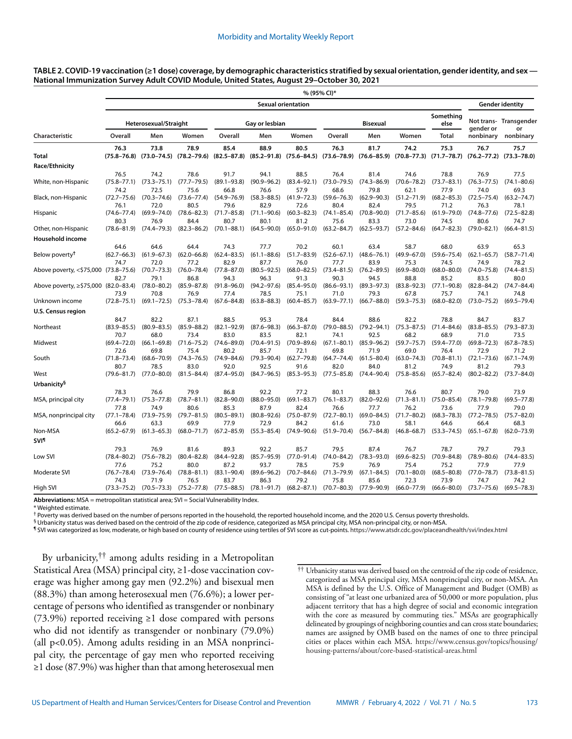#### **TABLE 2. COVID-19 vaccination (≥1 dose) coverage, by demographic characteristics stratified by sexual orientation, gender identity, and sex — National Immunization Survey Adult COVID Module, United States, August 29–October 30, 2021**

|                                           | % (95% CI)*                     |                                 |                                 |                                 |                                 |                                 |                                 |                                 |                                 |                                                                                                                                                         |                                 |                                 |
|-------------------------------------------|---------------------------------|---------------------------------|---------------------------------|---------------------------------|---------------------------------|---------------------------------|---------------------------------|---------------------------------|---------------------------------|---------------------------------------------------------------------------------------------------------------------------------------------------------|---------------------------------|---------------------------------|
|                                           | <b>Sexual orientation</b>       |                                 |                                 |                                 |                                 |                                 |                                 |                                 |                                 | <b>Gender identity</b>                                                                                                                                  |                                 |                                 |
|                                           | Heterosexual/Straight           |                                 |                                 | Gay or lesbian                  |                                 |                                 | <b>Bisexual</b>                 |                                 |                                 | Something<br>else                                                                                                                                       | gender or                       | Not trans- Transgender<br>or    |
| Characteristic                            | Overall                         | Men                             | Women                           | Overall                         | Men                             | Women                           | Overall                         | Men                             | Women                           | <b>Total</b>                                                                                                                                            | nonbinary                       | nonbinary                       |
| <b>Total</b>                              | 76.3                            | 73.8                            | 78.9                            | 85.4                            | 88.9                            | 80.5                            | 76.3                            | 81.7                            | 74.2                            | 75.3<br>(75.8–76.8) (73.0–74.5) (78.2–79.6) (82.5–87.8) (85.2–91.8) (75.6–84.5) (73.6–78.9) (76.6–85.9) (70.8–77.3) (71.7–78.7) (76.2–77.2) (73.3–78.0) | 76.7                            | 75.7                            |
| <b>Race/Ethnicity</b>                     |                                 |                                 |                                 |                                 |                                 |                                 |                                 |                                 |                                 |                                                                                                                                                         |                                 |                                 |
| White, non-Hispanic                       | 76.5<br>$(75.8 - 77.1)$<br>74.2 | 74.2<br>$(73.3 - 75.1)$<br>72.5 | 78.6<br>$(77.7 - 79.5)$<br>75.6 | 91.7<br>$(89.1 - 93.8)$<br>66.8 | 94.1<br>$(90.9 - 96.2)$<br>76.6 | 88.5<br>$(83.4 - 92.1)$<br>57.9 | 76.4<br>$(73.0 - 79.5)$<br>68.6 | 81.4<br>$(74.3 - 86.9)$<br>79.8 | 74.6<br>$(70.6 - 78.2)$<br>62.1 | 78.8<br>$(73.7 - 83.1)$<br>77.9                                                                                                                         | 76.9<br>$(76.3 - 77.5)$<br>74.0 | 77.5<br>$(74.1 - 80.6)$<br>69.3 |
| Black, non-Hispanic                       | $(72.7 - 75.6)$<br>76.1         | $(70.3 - 74.6)$<br>72.0         | $(73.6 - 77.4)$<br>80.5         | $(54.9 - 76.9)$<br>79.6         | $(58.3 - 88.5)$<br>82.9         | $(41.9 - 72.3)$<br>72.6         | $(59.6 - 76.3)$<br>80.4         | $(62.9 - 90.3)$<br>82.4         | $(51.2 - 71.9)$<br>79.5         | $(68.2 - 85.3)$<br>71.2                                                                                                                                 | $(72.5 - 75.4)$<br>76.3         | $(63.2 - 74.7)$<br>78.1         |
| Hispanic                                  | $(74.6 - 77.4)$<br>80.3         | $(69.9 - 74.0)$<br>76.9         | $(78.6 - 82.3)$<br>84.4         | $(71.7 - 85.8)$<br>80.7         | $(71.1 - 90.6)$<br>80.1         | $(60.3 - 82.3)$<br>81.2         | $(74.1 - 85.4)$<br>75.6         | $(70.8 - 90.0)$<br>83.3         | $(71.7 - 85.6)$<br>73.0         | $(61.9 - 79.0)$<br>74.5                                                                                                                                 | $(74.8 - 77.6)$<br>80.6         | $(72.5 - 82.8)$<br>74.7         |
| Other, non-Hispanic                       | $(78.6 - 81.9)$                 | $(74.4 - 79.3)$                 | $(82.3 - 86.2)$                 | $(70.1 - 88.1)$                 | $(64.5 - 90.0)$                 | $(65.0 - 91.0)$                 | $(63.2 - 84.7)$                 | $(62.5 - 93.7)$                 | $(57.2 - 84.6)$                 | $(64.7 - 82.3)$                                                                                                                                         | $(79.0 - 82.1)$                 | $(66.4 - 81.5)$                 |
| Household income                          |                                 |                                 |                                 |                                 |                                 |                                 |                                 |                                 |                                 |                                                                                                                                                         |                                 |                                 |
| Below poverty <sup>†</sup>                | 64.6<br>$(62.7 - 66.3)$         | 64.6<br>$(61.9 - 67.3)$         | 64.4<br>$(62.0 - 66.8)$         | 74.3<br>$(62.4 - 83.5)$         | 77.7<br>$(61.1 - 88.6)$         | 70.2<br>$(51.7 - 83.9)$         | 60.1<br>$(52.6 - 67.1)$         | 63.4<br>$(48.6 - 76.1)$         | 58.7<br>$(49.9 - 67.0)$         | 68.0<br>$(59.6 - 75.4)$                                                                                                                                 | 63.9<br>$(62.1 - 65.7)$         | 65.3<br>$(58.7 - 71.4)$         |
| Above poverty, <\$75,000 (73.8-75.6)      | 74.7<br>82.7                    | 72.0<br>$(70.7 - 73.3)$<br>79.1 | 77.2<br>$(76.0 - 78.4)$<br>86.8 | 82.9<br>$(77.8 - 87.0)$<br>94.3 | 87.7<br>$(80.5 - 92.5)$<br>96.3 | 76.0<br>$(68.0 - 82.5)$<br>91.3 | 77.7<br>$(73.4 - 81.5)$<br>90.3 | 83.9<br>$(76.2 - 89.5)$<br>94.5 | 75.3<br>$(69.9 - 80.0)$<br>88.8 | 74.5<br>$(68.0 - 80.0)$<br>85.2                                                                                                                         | 74.9<br>$(74.0 - 75.8)$<br>83.5 | 78.2<br>$(74.4 - 81.5)$<br>80.0 |
| Above poverty, $\ge$ \$75,000 (82.0–83.4) | 73.9                            | $(78.0 - 80.2)$<br>70.8         | $(85.9 - 87.8)$<br>76.9         | $(91.8 - 96.0)$<br>77.4         | $(94.2 - 97.6)$<br>78.5         | $(85.4 - 95.0)$<br>75.1         | $(86.6 - 93.1)$<br>71.0         | $(89.3 - 97.3)$<br>79.3         | $(83.8 - 92.3)$<br>67.8         | $(77.1 - 90.8)$<br>75.7                                                                                                                                 | $(82.8 - 84.2)$<br>74.1         | $(74.7 - 84.4)$<br>74.8         |
| Unknown income                            | $(72.8 - 75.1)$                 | $(69.1 - 72.5)$                 | $(75.3 - 78.4)$                 | $(67.6 - 84.8)$                 | $(63.8 - 88.3)$                 | $(60.4 - 85.7)$                 | $(63.9 - 77.1)$                 | $(66.7 - 88.0)$                 | $(59.3 - 75.3)$                 | $(68.0 - 82.0)$                                                                                                                                         | $(73.0 - 75.2)$                 | $(69.5 - 79.4)$                 |
| <b>U.S. Census region</b>                 |                                 |                                 |                                 |                                 |                                 |                                 |                                 |                                 |                                 |                                                                                                                                                         |                                 |                                 |
| Northeast                                 | 84.7<br>$(83.9 - 85.5)$<br>70.7 | 82.2<br>$(80.9 - 83.5)$<br>68.0 | 87.1<br>$(85.9 - 88.2)$<br>73.4 | 88.5<br>$(82.1 - 92.9)$<br>83.0 | 95.3<br>$(87.6 - 98.3)$<br>83.5 | 78.4<br>$(66.3 - 87.0)$<br>82.1 | 84.4<br>$(79.0 - 88.5)$<br>74.1 | 88.6<br>$(79.2 - 94.1)$<br>92.5 | 82.2<br>$(75.3 - 87.5)$<br>68.2 | 78.8<br>$(71.4 - 84.6)$<br>68.9                                                                                                                         | 84.7<br>$(83.8 - 85.5)$<br>71.0 | 83.7<br>$(79.3 - 87.3)$<br>73.5 |
| Midwest                                   | $(69.4 - 72.0)$<br>72.6         | $(66.1 - 69.8)$<br>69.8         | $(71.6 - 75.2)$<br>75.4         | $(74.6 - 89.0)$<br>80.2         | $(70.4 - 91.5)$<br>85.7         | $(70.9 - 89.6)$<br>72.1         | $(67.1 - 80.1)$<br>69.8         | $(85.9 - 96.2)$<br>71.9         | $(59.7 - 75.7)$<br>69.0         | $(59.4 - 77.0)$<br>76.4                                                                                                                                 | $(69.8 - 72.3)$<br>72.9         | $(67.8 - 78.5)$<br>71.2         |
| South                                     | $(71.8 - 73.4)$<br>80.7         | $(68.6 - 70.9)$<br>78.5         | $(74.3 - 76.5)$<br>83.0         | $(74.9 - 84.6)$<br>92.0         | $(79.3 - 90.4)$<br>92.5         | $(62.7 - 79.8)$<br>91.6         | $(64.7 - 74.4)$<br>82.0         | $(61.5 - 80.4)$<br>84.0         | $(63.0 - 74.3)$<br>81.2         | $(70.8 - 81.1)$<br>74.9                                                                                                                                 | $(72.1 - 73.6)$<br>81.2         | $(67.1 - 74.9)$<br>79.3         |
| West                                      | $(79.6 - 81.7)$                 | $(77.0 - 80.0)$                 | $(81.5 - 84.4)$                 | $(87.4 - 95.0)$                 | $(84.7 - 96.5)$                 | $(85.3 - 95.3)$                 | $(77.5 - 85.8)$                 | $(74.4 - 90.4)$                 | $(75.8 - 85.6)$                 | $(65.7 - 82.4)$                                                                                                                                         | $(80.2 - 82.2)$                 | $(73.7 - 84.0)$                 |
| Urbanicity <sup>§</sup>                   |                                 |                                 |                                 |                                 |                                 |                                 |                                 |                                 |                                 |                                                                                                                                                         |                                 |                                 |
| MSA, principal city                       | 78.3<br>$(77.4 - 79.1)$<br>77.8 | 76.6<br>$(75.3 - 77.8)$<br>74.9 | 79.9<br>$(78.7 - 81.1)$<br>80.6 | 86.8<br>$(82.8 - 90.0)$<br>85.3 | 92.2<br>$(88.0 - 95.0)$<br>87.9 | 77.2<br>$(69.1 - 83.7)$<br>82.4 | 80.1<br>$(76.1 - 83.7)$<br>76.6 | 88.3<br>$(82.0 - 92.6)$<br>77.7 | 76.6<br>$(71.3 - 81.1)$<br>76.2 | 80.7<br>$(75.0 - 85.4)$<br>73.6                                                                                                                         | 79.0<br>$(78.1 - 79.8)$<br>77.9 | 73.9<br>$(69.5 - 77.8)$<br>79.0 |
| MSA, nonprincipal city                    | $(77.1 - 78.4)$<br>66.6         | $(73.9 - 75.9)$<br>63.3         | $(79.7 - 81.5)$<br>69.9         | $(80.5 - 89.1)$<br>77.9         | $(80.8 - 92.6)$<br>72.9         | $(75.0 - 87.9)$<br>84.2         | $(72.7 - 80.1)$<br>61.6         | $(69.0 - 84.5)$<br>73.0         | $(71.7 - 80.2)$<br>58.1         | $(68.3 - 78.3)$<br>64.6                                                                                                                                 | $(77.2 - 78.5)$<br>66.4         | $(75.7 - 82.0)$<br>68.3         |
| Non-MSA                                   | $(65.2 - 67.9)$                 | $(61.3 - 65.3)$                 | $(68.0 - 71.7)$                 | $(67.2 - 85.9)$                 | $(55.3 - 85.4)$                 | $(74.9 - 90.6)$                 | $(51.9 - 70.4)$                 | $(56.7 - 84.8)$                 | $(46.8 - 68.7)$                 | $(53.3 - 74.5)$                                                                                                                                         | $(65.1 - 67.8)$                 | $(62.0 - 73.9)$                 |
| <b>SVI<sup>1</sup></b>                    |                                 |                                 |                                 |                                 |                                 |                                 |                                 |                                 |                                 |                                                                                                                                                         |                                 |                                 |
| Low SVI                                   | 79.3<br>$(78.4 - 80.2)$         | 76.9<br>$(75.6 - 78.2)$         | 81.6<br>$(80.4 - 82.8)$         | 89.3<br>$(84.4 - 92.8)$         | 92.2<br>$(85.7 - 95.9)$         | 85.7<br>$(77.0 - 91.4)$         | 79.5<br>$(74.0 - 84.2)$         | 87.4<br>$(78.3 - 93.0)$         | 76.7<br>$(69.6 - 82.5)$         | 78.7<br>$(70.9 - 84.8)$                                                                                                                                 | 79.7<br>$(78.9 - 80.6)$         | 79.3<br>$(74.4 - 83.5)$         |
| Moderate SVI                              | 77.6<br>$(76.7 - 78.4)$<br>74.3 | 75.2<br>$(73.9 - 76.4)$<br>71.9 | 80.0<br>$(78.8 - 81.1)$<br>76.5 | 87.2<br>$(83.1 - 90.4)$<br>83.7 | 93.7<br>$(89.6 - 96.2)$<br>86.3 | 78.5<br>$(70.7 - 84.6)$<br>79.2 | 75.9<br>$(71.3 - 79.9)$<br>75.8 | 76.9<br>$(67.1 - 84.5)$<br>85.6 | 75.4<br>$(70.1 - 80.0)$<br>72.3 | 75.2<br>$(68.5 - 80.8)$<br>73.9                                                                                                                         | 77.9<br>$(77.0 - 78.7)$<br>74.7 | 77.9<br>$(73.8 - 81.5)$<br>74.2 |
| High SVI                                  |                                 | $(73.3 - 75.2)$ $(70.5 - 73.3)$ | $(75.2 - 77.8)$                 | $(77.5 - 88.5)$                 | $(78.1 - 91.7)$                 | $(68.2 - 87.1)$                 | $(70.7 - 80.3)$                 | $(77.9 - 90.9)$                 | $(66.0 - 77.9)$                 | $(66.6 - 80.0)$                                                                                                                                         | $(73.7 - 75.6)$                 | $(69.5 - 78.3)$                 |

**Abbreviations:** MSA = metropolitan statistical area; SVI = Social Vulnerability Index. \* Weighted estimate.

<sup>†</sup> Poverty was derived based on the number of persons reported in the household, the reported household income, and the 2020 U.S. Census poverty thresholds.

 ${}^6$ Urbanicity status was derived based on the centroid of the zip code of residence, categorized as MSA principal city, MSA non-principal city, or non-MSA.

¶ SVI was categorized as low, moderate, or high based on county of residence using tertiles of SVI score as cut-points.<https://www.atsdr.cdc.gov/placeandhealth/svi/index.html>

By urbanicity,<sup> $\dagger \dagger$ </sup> among adults residing in a Metropolitan Statistical Area (MSA) principal city, ≥1-dose vaccination coverage was higher among gay men (92.2%) and bisexual men (88.3%) than among heterosexual men (76.6%); a lower percentage of persons who identified as transgender or nonbinary (73.9%) reported receiving  $\geq 1$  dose compared with persons who did not identify as transgender or nonbinary (79.0%) (all p<0.05). Among adults residing in an MSA nonprincipal city, the percentage of gay men who reported receiving ≥1 dose (87.9%) was higher than that among heterosexual men

<sup>††</sup> Urbanicity status was derived based on the centroid of the zip code of residence, categorized as MSA principal city, MSA nonprincipal city, or non-MSA. An MSA is defined by the U.S. Office of Management and Budget (OMB) as consisting of "at least one urbanized area of 50,000 or more population, plus adjacent territory that has a high degree of social and economic integration with the core as measured by commuting ties." MSAs are geographically delineated by groupings of neighboring counties and can cross state boundaries; names are assigned by OMB based on the names of one to three principal cities or places within each MSA. [https://www.census.gov/topics/housing/](https://www.census.gov/topics/housing/housing-patterns/about/core-based-statistical-areas.html) [housing-patterns/about/core-based-statistical-areas.html](https://www.census.gov/topics/housing/housing-patterns/about/core-based-statistical-areas.html)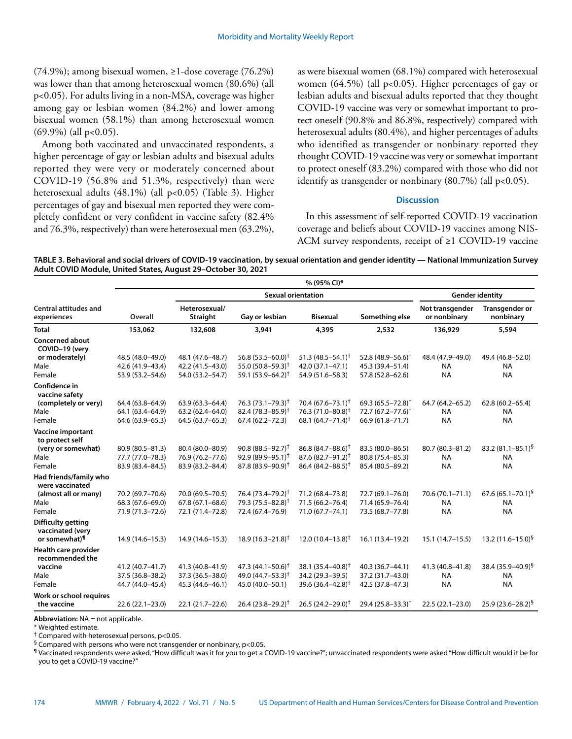(74.9%); among bisexual women, ≥1-dose coverage (76.2%) was lower than that among heterosexual women (80.6%) (all p<0.05). For adults living in a non-MSA, coverage was higher among gay or lesbian women (84.2%) and lower among bisexual women (58.1%) than among heterosexual women  $(69.9\%)$  (all p<0.05).

Among both vaccinated and unvaccinated respondents, a higher percentage of gay or lesbian adults and bisexual adults reported they were very or moderately concerned about COVID-19 (56.8% and 51.3%, respectively) than were heterosexual adults (48.1%) (all p<0.05) (Table 3). Higher percentages of gay and bisexual men reported they were completely confident or very confident in vaccine safety (82.4% and 76.3%, respectively) than were heterosexual men (63.2%), as were bisexual women (68.1%) compared with heterosexual women (64.5%) (all p<0.05). Higher percentages of gay or lesbian adults and bisexual adults reported that they thought COVID-19 vaccine was very or somewhat important to protect oneself (90.8% and 86.8%, respectively) compared with heterosexual adults (80.4%), and higher percentages of adults who identified as transgender or nonbinary reported they thought COVID-19 vaccine was very or somewhat important to protect oneself (83.2%) compared with those who did not identify as transgender or nonbinary (80.7%) (all p<0.05).

## **Discussion**

In this assessment of self-reported COVID-19 vaccination coverage and beliefs about COVID-19 vaccines among NIS-ACM survey respondents, receipt of ≥1 COVID-19 vaccine

**TABLE 3. Behavioral and social drivers of COVID-19 vaccination, by sexual orientation and gender identity — National Immunization Survey Adult COVID Module, United States, August 29–October 30, 2021**

|                                             | % (95% CI)*       |                           |                                |                                |                                |                                 |                                    |  |  |  |
|---------------------------------------------|-------------------|---------------------------|--------------------------------|--------------------------------|--------------------------------|---------------------------------|------------------------------------|--|--|--|
|                                             |                   |                           | <b>Sexual orientation</b>      | <b>Gender identity</b>         |                                |                                 |                                    |  |  |  |
| <b>Central attitudes and</b><br>experiences | Overall           | Heterosexual/<br>Straight | Gay or lesbian                 | <b>Bisexual</b>                | Something else                 | Not transgender<br>or nonbinary | <b>Transgender or</b><br>nonbinary |  |  |  |
| <b>Total</b>                                | 153,062           | 132,608                   | 3,941                          | 4,395                          | 2,532                          | 136,929                         | 5,594                              |  |  |  |
| <b>Concerned about</b><br>COVID-19 (very    |                   |                           |                                |                                |                                |                                 |                                    |  |  |  |
| or moderately)                              | 48.5 (48.0-49.0)  | 48.1 (47.6-48.7)          | 56.8 $(53.5 - 60.0)^{\dagger}$ | 51.3 $(48.5 - 54.1)^{\dagger}$ | 52.8 $(48.9 - 56.6)^{\dagger}$ | 48.4 (47.9-49.0)                | 49.4 (46.8-52.0)                   |  |  |  |
| Male                                        | 42.6 (41.9-43.4)  | 42.2 (41.5-43.0)          | 55.0 $(50.8 - 59.3)^{\dagger}$ | 42.0 (37.1-47.1)               | 45.3 (39.4–51.4)               | <b>NA</b>                       | <b>NA</b>                          |  |  |  |
| Female                                      | 53.9 (53.2-54.6)  | 54.0 (53.2-54.7)          | 59.1 $(53.9 - 64.2)^{\dagger}$ | 54.9 (51.6-58.3)               | 57.8 (52.8-62.6)               | <b>NA</b>                       | <b>NA</b>                          |  |  |  |
| Confidence in<br>vaccine safety             |                   |                           |                                |                                |                                |                                 |                                    |  |  |  |
| (completely or very)                        | 64.4 (63.8-64.9)  | $63.9(63.3 - 64.4)$       | 76.3 $(73.1 - 79.3)^{\dagger}$ | $70.4(67.6 - 73.1)^{\dagger}$  | 69.3 $(65.5 - 72.8)^{\dagger}$ | 64.7 (64.2-65.2)                | $62.8(60.2 - 65.4)$                |  |  |  |
| Male                                        | 64.1 (63.4-64.9)  | $63.2(62.4 - 64.0)$       | 82.4 $(78.3 - 85.9)^{\dagger}$ | 76.3 (71.0-80.8) <sup>†</sup>  | $72.7(67.2 - 77.6)^{\dagger}$  | <b>NA</b>                       | <b>NA</b>                          |  |  |  |
| Female                                      | 64.6 (63.9-65.3)  | 64.5 (63.7-65.3)          | $67.4(62.2 - 72.3)$            | 68.1 $(64.7 - 71.4)^{\dagger}$ | 66.9 (61.8-71.7)               | <b>NA</b>                       | <b>NA</b>                          |  |  |  |
| <b>Vaccine important</b><br>to protect self |                   |                           |                                |                                |                                |                                 |                                    |  |  |  |
| (very or somewhat)                          | 80.9 (80.5-81.3)  | 80.4 (80.0-80.9)          | $90.8(88.5 - 92.7)^{\dagger}$  | $86.8(84.7 - 88.6)^{\dagger}$  | 83.5 (80.0-86.5)               | 80.7 (80.3-81.2)                | 83.2 $(81.1 - 85.1)^5$             |  |  |  |
| Male                                        | 77.7 (77.0-78.3)  | 76.9 (76.2-77.6)          | $92.9(89.9 - 95.1)^{\dagger}$  | $87.6(82.7 - 91.2)^{\dagger}$  | 80.8 (75.4-85.3)               | <b>NA</b>                       | <b>NA</b>                          |  |  |  |
| Female                                      | 83.9 (83.4-84.5)  | 83.9 (83.2-84.4)          | $87.8(83.9 - 90.9)^{\dagger}$  | $86.4(84.2 - 88.5)^{\dagger}$  | 85.4 (80.5-89.2)               | <b>NA</b>                       | <b>NA</b>                          |  |  |  |
| Had friends/family who<br>were vaccinated   |                   |                           |                                |                                |                                |                                 |                                    |  |  |  |
| (almost all or many)                        | 70.2 (69.7-70.6)  | 70.0 (69.5-70.5)          | 76.4 (73.4–79.2) <sup>†</sup>  | 71.2 (68.4-73.8)               | 72.7 (69.1-76.0)               | 70.6 (70.1-71.1)                | 67.6 $(65.1 - 70.1)^{5}$           |  |  |  |
| Male                                        | 68.3 (67.6-69.0)  | $67.8(67.1 - 68.6)$       | 79.3 (75.5-82.8) <sup>†</sup>  | 71.5 (66.2-76.4)               | 71.4 (65.9-76.4)               | <b>NA</b>                       | <b>NA</b>                          |  |  |  |
| Female                                      | 71.9 (71.3-72.6)  | 72.1 (71.4-72.8)          | 72.4 (67.4-76.9)               | 71.0 (67.7-74.1)               | 73.5 (68.7-77.8)               | <b>NA</b>                       | <b>NA</b>                          |  |  |  |
| Difficulty getting<br>vaccinated (very      |                   |                           |                                |                                |                                |                                 |                                    |  |  |  |
| or somewhat) <sup>1</sup>                   | 14.9 (14.6-15.3)  | 14.9 (14.6-15.3)          | $18.9(16.3 - 21.8)^{\dagger}$  | $12.0(10.4 - 13.8)^{\dagger}$  | 16.1 (13.4-19.2)               | $15.1(14.7 - 15.5)$             | 13.2 $(11.6 - 15.0)^{9}$           |  |  |  |
| Health care provider<br>recommended the     |                   |                           |                                |                                |                                |                                 |                                    |  |  |  |
| vaccine                                     | 41.2 (40.7-41.7)  | 41.3 (40.8-41.9)          | 47.3 $(44.1 - 50.6)^{\dagger}$ | 38.1 $(35.4 - 40.8)^{\dagger}$ | 40.3 (36.7-44.1)               | 41.3 (40.8-41.8)                | 38.4 (35.9–40.9) <sup>§</sup>      |  |  |  |
| Male                                        | 37.5 (36.8-38.2)  | 37.3 (36.5-38.0)          | 49.0 $(44.7 - 53.3)^{\dagger}$ | 34.2 (29.3-39.5)               | 37.2 (31.7-43.0)               | <b>NA</b>                       | <b>NA</b>                          |  |  |  |
| Female                                      | 44.7 (44.0-45.4)  | 45.3 (44.6-46.1)          | 45.0 (40.0-50.1)               | 39.6 $(36.4 - 42.8)^{+}$       | 42.5 (37.8-47.3)               | <b>NA</b>                       | <b>NA</b>                          |  |  |  |
| Work or school requires<br>the vaccine      | $22.6(22.1-23.0)$ | $22.1(21.7-22.6)$         | $26.4(23.8-29.2)^{\dagger}$    | $26.5(24.2 - 29.0)^{\dagger}$  | $29.4(25.8 - 33.3)^{\dagger}$  | $22.5(22.1-23.0)$               | $25.9(23.6 - 28.2)^5$              |  |  |  |

**Abbreviation:** NA = not applicable.

\* Weighted estimate.

 $<sup>†</sup>$  Compared with heterosexual persons, p<0.05.</sup>

 $\frac{6}{5}$  Compared with persons who were not transgender or nonbinary, p<0.05.

¶ Vaccinated respondents were asked, "How difficult was it for you to get a COVID-19 vaccine?"; unvaccinated respondents were asked "How difficult would it be for you to get a COVID-19 vaccine?"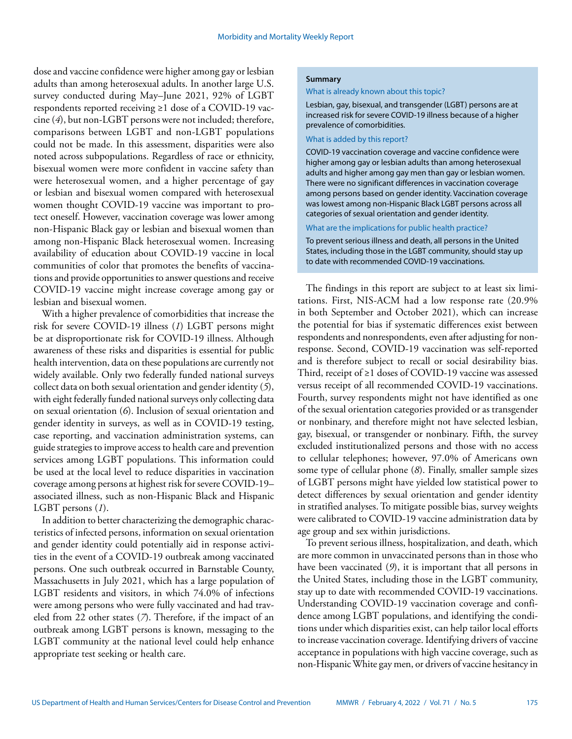dose and vaccine confidence were higher among gay or lesbian adults than among heterosexual adults. In another large U.S. survey conducted during May–June 2021, 92% of LGBT respondents reported receiving ≥1 dose of a COVID-19 vaccine (*4*), but non-LGBT persons were not included; therefore, comparisons between LGBT and non-LGBT populations could not be made. In this assessment, disparities were also noted across subpopulations. Regardless of race or ethnicity, bisexual women were more confident in vaccine safety than were heterosexual women, and a higher percentage of gay or lesbian and bisexual women compared with heterosexual women thought COVID-19 vaccine was important to protect oneself. However, vaccination coverage was lower among non-Hispanic Black gay or lesbian and bisexual women than among non-Hispanic Black heterosexual women. Increasing availability of education about COVID-19 vaccine in local communities of color that promotes the benefits of vaccinations and provide opportunities to answer questions and receive COVID-19 vaccine might increase coverage among gay or lesbian and bisexual women.

With a higher prevalence of comorbidities that increase the risk for severe COVID-19 illness (*1*) LGBT persons might be at disproportionate risk for COVID-19 illness. Although awareness of these risks and disparities is essential for public health intervention, data on these populations are currently not widely available. Only two federally funded national surveys collect data on both sexual orientation and gender identity (*5*), with eight federally funded national surveys only collecting data on sexual orientation (*6*). Inclusion of sexual orientation and gender identity in surveys, as well as in COVID-19 testing, case reporting, and vaccination administration systems, can guide strategies to improve access to health care and prevention services among LGBT populations. This information could be used at the local level to reduce disparities in vaccination coverage among persons at highest risk for severe COVID-19– associated illness, such as non-Hispanic Black and Hispanic LGBT persons (*1*).

In addition to better characterizing the demographic characteristics of infected persons, information on sexual orientation and gender identity could potentially aid in response activities in the event of a COVID-19 outbreak among vaccinated persons. One such outbreak occurred in Barnstable County, Massachusetts in July 2021, which has a large population of LGBT residents and visitors, in which 74.0% of infections were among persons who were fully vaccinated and had traveled from 22 other states (*7*). Therefore, if the impact of an outbreak among LGBT persons is known, messaging to the LGBT community at the national level could help enhance appropriate test seeking or health care.

#### **Summary**

What is already known about this topic?

Lesbian, gay, bisexual, and transgender (LGBT) persons are at increased risk for severe COVID-19 illness because of a higher prevalence of comorbidities.

What is added by this report?

COVID-19 vaccination coverage and vaccine confidence were higher among gay or lesbian adults than among heterosexual adults and higher among gay men than gay or lesbian women. There were no significant differences in vaccination coverage among persons based on gender identity. Vaccination coverage was lowest among non-Hispanic Black LGBT persons across all categories of sexual orientation and gender identity.

What are the implications for public health practice?

To prevent serious illness and death, all persons in the United States, including those in the LGBT community, should stay up to date with recommended COVID-19 vaccinations.

The findings in this report are subject to at least six limitations. First, NIS-ACM had a low response rate (20.9% in both September and October 2021), which can increase the potential for bias if systematic differences exist between respondents and nonrespondents, even after adjusting for nonresponse. Second, COVID-19 vaccination was self-reported and is therefore subject to recall or social desirability bias. Third, receipt of ≥1 doses of COVID-19 vaccine was assessed versus receipt of all recommended COVID-19 vaccinations. Fourth, survey respondents might not have identified as one of the sexual orientation categories provided or as transgender or nonbinary, and therefore might not have selected lesbian, gay, bisexual, or transgender or nonbinary. Fifth, the survey excluded institutionalized persons and those with no access to cellular telephones; however, 97.0% of Americans own some type of cellular phone (*8*). Finally, smaller sample sizes of LGBT persons might have yielded low statistical power to detect differences by sexual orientation and gender identity in stratified analyses. To mitigate possible bias, survey weights were calibrated to COVID-19 vaccine administration data by age group and sex within jurisdictions.

To prevent serious illness, hospitalization, and death, which are more common in unvaccinated persons than in those who have been vaccinated (*9*), it is important that all persons in the United States, including those in the LGBT community, stay up to date with recommended COVID-19 vaccinations. Understanding COVID-19 vaccination coverage and confidence among LGBT populations, and identifying the conditions under which disparities exist, can help tailor local efforts to increase vaccination coverage. Identifying drivers of vaccine acceptance in populations with high vaccine coverage, such as non-Hispanic White gay men, or drivers of vaccine hesitancy in